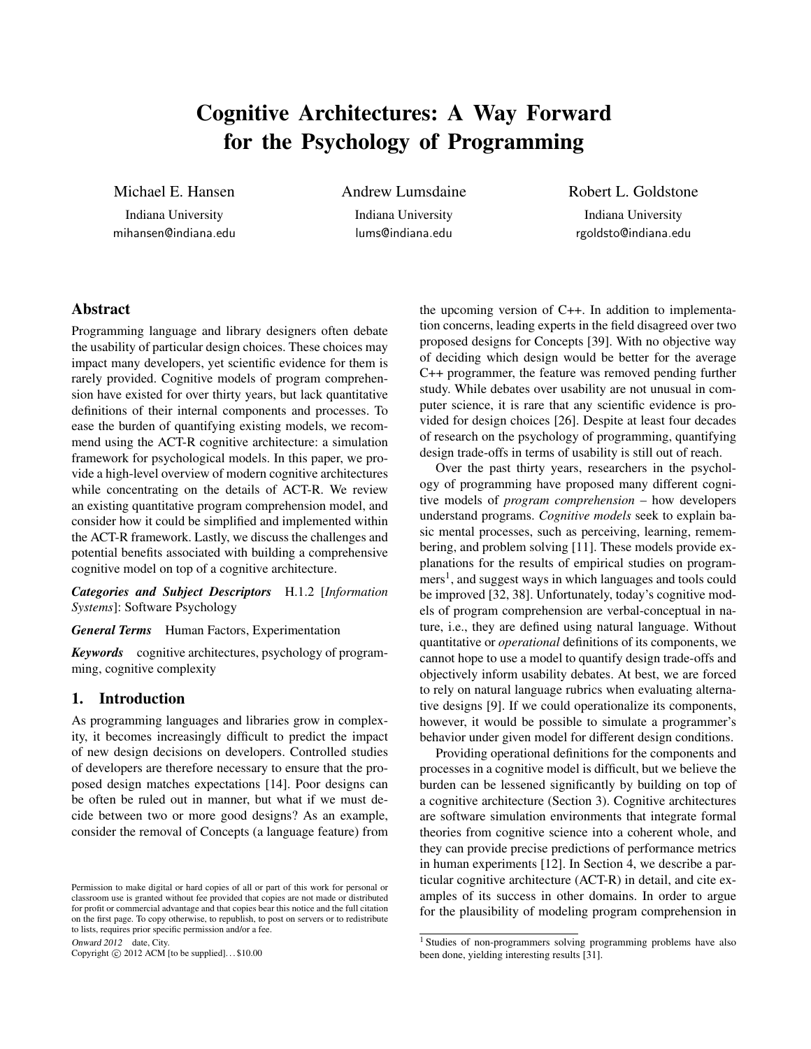# Cognitive Architectures: A Way Forward for the Psychology of Programming

Michael E. Hansen

Indiana University mihansen@indiana.edu Andrew Lumsdaine

Indiana University lums@indiana.edu Robert L. Goldstone

Indiana University rgoldsto@indiana.edu

# Abstract

Programming language and library designers often debate the usability of particular design choices. These choices may impact many developers, yet scientific evidence for them is rarely provided. Cognitive models of program comprehension have existed for over thirty years, but lack quantitative definitions of their internal components and processes. To ease the burden of quantifying existing models, we recommend using the ACT-R cognitive architecture: a simulation framework for psychological models. In this paper, we provide a high-level overview of modern cognitive architectures while concentrating on the details of ACT-R. We review an existing quantitative program comprehension model, and consider how it could be simplified and implemented within the ACT-R framework. Lastly, we discuss the challenges and potential benefits associated with building a comprehensive cognitive model on top of a cognitive architecture.

*Categories and Subject Descriptors* H.1.2 [*Information Systems*]: Software Psychology

*General Terms* Human Factors, Experimentation

*Keywords* cognitive architectures, psychology of programming, cognitive complexity

## 1. Introduction

As programming languages and libraries grow in complexity, it becomes increasingly difficult to predict the impact of new design decisions on developers. Controlled studies of developers are therefore necessary to ensure that the proposed design matches expectations [14]. Poor designs can be often be ruled out in manner, but what if we must decide between two or more good designs? As an example, consider the removal of Concepts (a language feature) from

Onward 2012 date, City.

Copyright  $\odot$  2012 ACM [to be supplied]...\$10.00

the upcoming version of C++. In addition to implementation concerns, leading experts in the field disagreed over two proposed designs for Concepts [39]. With no objective way of deciding which design would be better for the average C++ programmer, the feature was removed pending further study. While debates over usability are not unusual in computer science, it is rare that any scientific evidence is provided for design choices [26]. Despite at least four decades of research on the psychology of programming, quantifying design trade-offs in terms of usability is still out of reach.

Over the past thirty years, researchers in the psychology of programming have proposed many different cognitive models of *program comprehension* – how developers understand programs. *Cognitive models* seek to explain basic mental processes, such as perceiving, learning, remembering, and problem solving [11]. These models provide explanations for the results of empirical studies on programmers<sup>1</sup>, and suggest ways in which languages and tools could be improved [32, 38]. Unfortunately, today's cognitive models of program comprehension are verbal-conceptual in nature, i.e., they are defined using natural language. Without quantitative or *operational* definitions of its components, we cannot hope to use a model to quantify design trade-offs and objectively inform usability debates. At best, we are forced to rely on natural language rubrics when evaluating alternative designs [9]. If we could operationalize its components, however, it would be possible to simulate a programmer's behavior under given model for different design conditions.

Providing operational definitions for the components and processes in a cognitive model is difficult, but we believe the burden can be lessened significantly by building on top of a cognitive architecture (Section 3). Cognitive architectures are software simulation environments that integrate formal theories from cognitive science into a coherent whole, and they can provide precise predictions of performance metrics in human experiments [12]. In Section 4, we describe a particular cognitive architecture (ACT-R) in detail, and cite examples of its success in other domains. In order to argue for the plausibility of modeling program comprehension in

Permission to make digital or hard copies of all or part of this work for personal or classroom use is granted without fee provided that copies are not made or distributed for profit or commercial advantage and that copies bear this notice and the full citation on the first page. To copy otherwise, to republish, to post on servers or to redistribute to lists, requires prior specific permission and/or a fee.

<sup>&</sup>lt;sup>1</sup> Studies of non-programmers solving programming problems have also been done, yielding interesting results [31].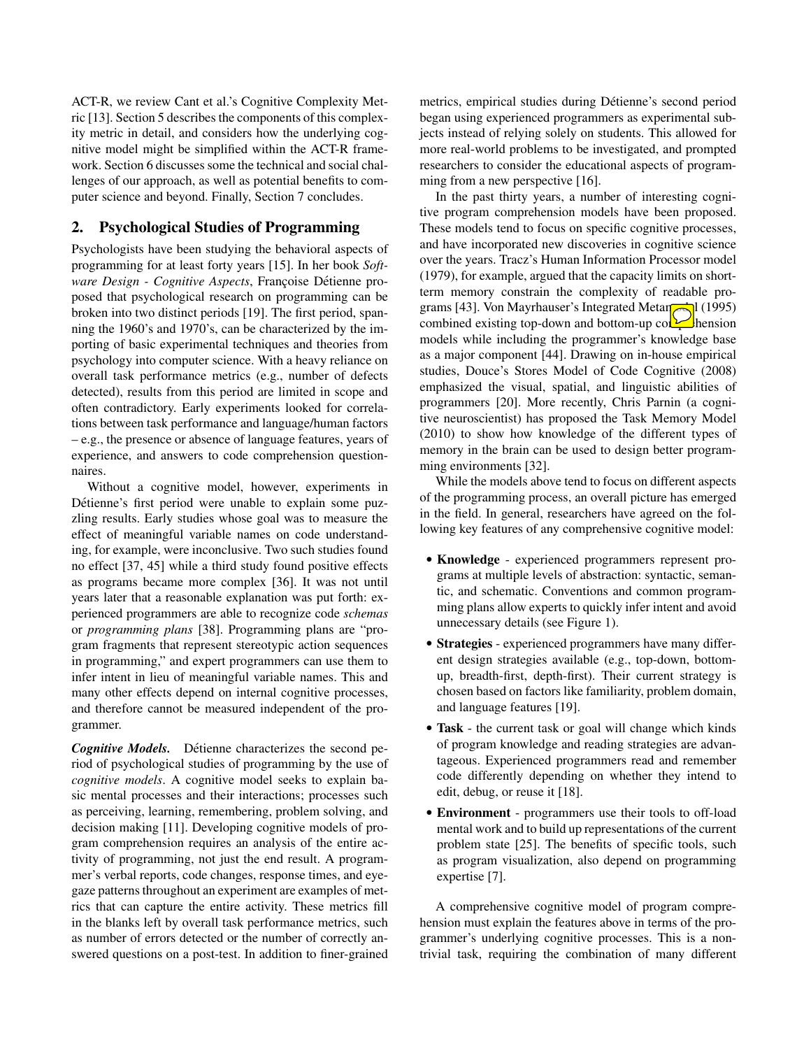ACT-R, we review Cant et al.'s Cognitive Complexity Metric [13]. Section 5 describes the components of this complexity metric in detail, and considers how the underlying cognitive model might be simplified within the ACT-R framework. Section 6 discusses some the technical and social challenges of our approach, as well as potential benefits to computer science and beyond. Finally, Section 7 concludes.

# 2. Psychological Studies of Programming

Psychologists have been studying the behavioral aspects of programming for at least forty years [15]. In her book *Software Design - Cognitive Aspects*, Françoise Détienne proposed that psychological research on programming can be broken into two distinct periods [19]. The first period, spanning the 1960's and 1970's, can be characterized by the importing of basic experimental techniques and theories from psychology into computer science. With a heavy reliance on overall task performance metrics (e.g., number of defects detected), results from this period are limited in scope and often contradictory. Early experiments looked for correlations between task performance and language/human factors – e.g., the presence or absence of language features, years of experience, and answers to code comprehension questionnaires.

Without a cognitive model, however, experiments in Détienne's first period were unable to explain some puzzling results. Early studies whose goal was to measure the effect of meaningful variable names on code understanding, for example, were inconclusive. Two such studies found no effect [37, 45] while a third study found positive effects as programs became more complex [36]. It was not until years later that a reasonable explanation was put forth: experienced programmers are able to recognize code *schemas* or *programming plans* [38]. Programming plans are "program fragments that represent stereotypic action sequences in programming," and expert programmers can use them to infer intent in lieu of meaningful variable names. This and many other effects depend on internal cognitive processes, and therefore cannot be measured independent of the programmer.

**Cognitive Models.** Détienne characterizes the second period of psychological studies of programming by the use of *cognitive models*. A cognitive model seeks to explain basic mental processes and their interactions; processes such as perceiving, learning, remembering, problem solving, and decision making [11]. Developing cognitive models of program comprehension requires an analysis of the entire activity of programming, not just the end result. A programmer's verbal reports, code changes, response times, and eyegaze patterns throughout an experiment are examples of metrics that can capture the entire activity. These metrics fill in the blanks left by overall task performance metrics, such as number of errors detected or the number of correctly answered questions on a post-test. In addition to finer-grained metrics, empirical studies during Détienne's second period began using experienced programmers as experimental subjects instead of relying solely on students. This allowed for more real-world problems to be investigated, and prompted researchers to consider the educational aspects of programming from a new perspective [16].

In the past thirty years, a number of interesting cognitive program comprehension models have been proposed. These models tend to focus on specific cognitive processes, and have incorporated new discoveries in cognitive science over the years. Tracz's Human Information Processor model (1979), for example, argued that the capacity limits on shortterm memory constrain the complexity of readable programs [43]. Von Mayrhauser's Integrated Metan  $\sim$  1 (1995) combined existing top-down and bottom-up  $\text{col}$  hension models while including the programmer's knowledge base as a major component [44]. Drawing on in-house empirical studies, Douce's Stores Model of Code Cognitive (2008) emphasized the visual, spatial, and linguistic abilities of programmers [20]. More recently, Chris Parnin (a cognitive neuroscientist) has proposed the Task Memory Model (2010) to show how knowledge of the different types of memory in the brain can be used to design better programming environments [32].

While the models above tend to focus on different aspects of the programming process, an overall picture has emerged in the field. In general, researchers have agreed on the following key features of any comprehensive cognitive model:

- Knowledge experienced programmers represent programs at multiple levels of abstraction: syntactic, semantic, and schematic. Conventions and common programming plans allow experts to quickly infer intent and avoid unnecessary details (see Figure 1).
- Strategies experienced programmers have many different design strategies available (e.g., top-down, bottomup, breadth-first, depth-first). Their current strategy is chosen based on factors like familiarity, problem domain, and language features [19].
- Task the current task or goal will change which kinds of program knowledge and reading strategies are advantageous. Experienced programmers read and remember code differently depending on whether they intend to edit, debug, or reuse it [18].
- Environment programmers use their tools to off-load mental work and to build up representations of the current problem state [25]. The benefits of specific tools, such as program visualization, also depend on programming expertise [7].

A comprehensive cognitive model of program comprehension must explain the features above in terms of the programmer's underlying cognitive processes. This is a nontrivial task, requiring the combination of many different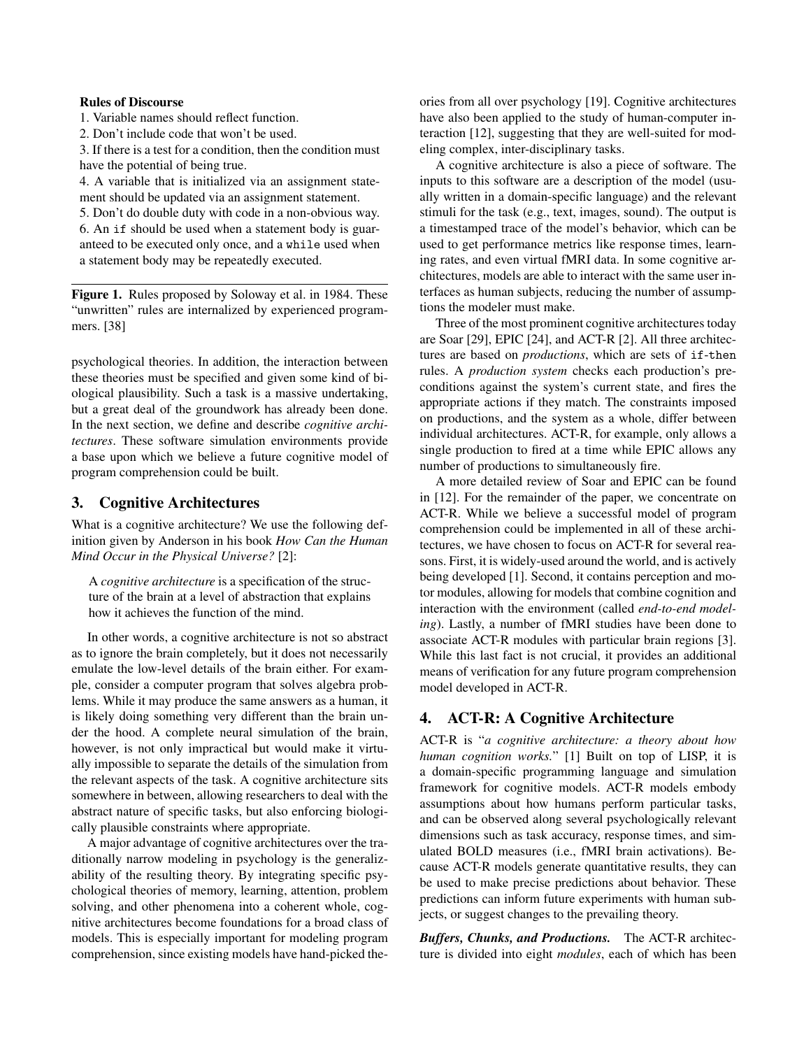## Rules of Discourse

1. Variable names should reflect function.

2. Don't include code that won't be used.

3. If there is a test for a condition, then the condition must have the potential of being true.

4. A variable that is initialized via an assignment statement should be updated via an assignment statement.

5. Don't do double duty with code in a non-obvious way. 6. An if should be used when a statement body is guaranteed to be executed only once, and a while used when a statement body may be repeatedly executed.

Figure 1. Rules proposed by Soloway et al. in 1984. These "unwritten" rules are internalized by experienced programmers. [38]

psychological theories. In addition, the interaction between these theories must be specified and given some kind of biological plausibility. Such a task is a massive undertaking, but a great deal of the groundwork has already been done. In the next section, we define and describe *cognitive architectures*. These software simulation environments provide a base upon which we believe a future cognitive model of program comprehension could be built.

## 3. Cognitive Architectures

What is a cognitive architecture? We use the following definition given by Anderson in his book *How Can the Human Mind Occur in the Physical Universe?* [2]:

A *cognitive architecture* is a specification of the structure of the brain at a level of abstraction that explains how it achieves the function of the mind.

In other words, a cognitive architecture is not so abstract as to ignore the brain completely, but it does not necessarily emulate the low-level details of the brain either. For example, consider a computer program that solves algebra problems. While it may produce the same answers as a human, it is likely doing something very different than the brain under the hood. A complete neural simulation of the brain, however, is not only impractical but would make it virtually impossible to separate the details of the simulation from the relevant aspects of the task. A cognitive architecture sits somewhere in between, allowing researchers to deal with the abstract nature of specific tasks, but also enforcing biologically plausible constraints where appropriate.

A major advantage of cognitive architectures over the traditionally narrow modeling in psychology is the generalizability of the resulting theory. By integrating specific psychological theories of memory, learning, attention, problem solving, and other phenomena into a coherent whole, cognitive architectures become foundations for a broad class of models. This is especially important for modeling program comprehension, since existing models have hand-picked theories from all over psychology [19]. Cognitive architectures have also been applied to the study of human-computer interaction [12], suggesting that they are well-suited for modeling complex, inter-disciplinary tasks.

A cognitive architecture is also a piece of software. The inputs to this software are a description of the model (usually written in a domain-specific language) and the relevant stimuli for the task (e.g., text, images, sound). The output is a timestamped trace of the model's behavior, which can be used to get performance metrics like response times, learning rates, and even virtual fMRI data. In some cognitive architectures, models are able to interact with the same user interfaces as human subjects, reducing the number of assumptions the modeler must make.

Three of the most prominent cognitive architectures today are Soar [29], EPIC [24], and ACT-R [2]. All three architectures are based on *productions*, which are sets of if-then rules. A *production system* checks each production's preconditions against the system's current state, and fires the appropriate actions if they match. The constraints imposed on productions, and the system as a whole, differ between individual architectures. ACT-R, for example, only allows a single production to fired at a time while EPIC allows any number of productions to simultaneously fire.

A more detailed review of Soar and EPIC can be found in [12]. For the remainder of the paper, we concentrate on ACT-R. While we believe a successful model of program comprehension could be implemented in all of these architectures, we have chosen to focus on ACT-R for several reasons. First, it is widely-used around the world, and is actively being developed [1]. Second, it contains perception and motor modules, allowing for models that combine cognition and interaction with the environment (called *end-to-end modeling*). Lastly, a number of fMRI studies have been done to associate ACT-R modules with particular brain regions [3]. While this last fact is not crucial, it provides an additional means of verification for any future program comprehension model developed in ACT-R.

# 4. ACT-R: A Cognitive Architecture

ACT-R is "*a cognitive architecture: a theory about how human cognition works.*" [1] Built on top of LISP, it is a domain-specific programming language and simulation framework for cognitive models. ACT-R models embody assumptions about how humans perform particular tasks, and can be observed along several psychologically relevant dimensions such as task accuracy, response times, and simulated BOLD measures (i.e., fMRI brain activations). Because ACT-R models generate quantitative results, they can be used to make precise predictions about behavior. These predictions can inform future experiments with human subjects, or suggest changes to the prevailing theory.

*Buffers, Chunks, and Productions.* The ACT-R architecture is divided into eight *modules*, each of which has been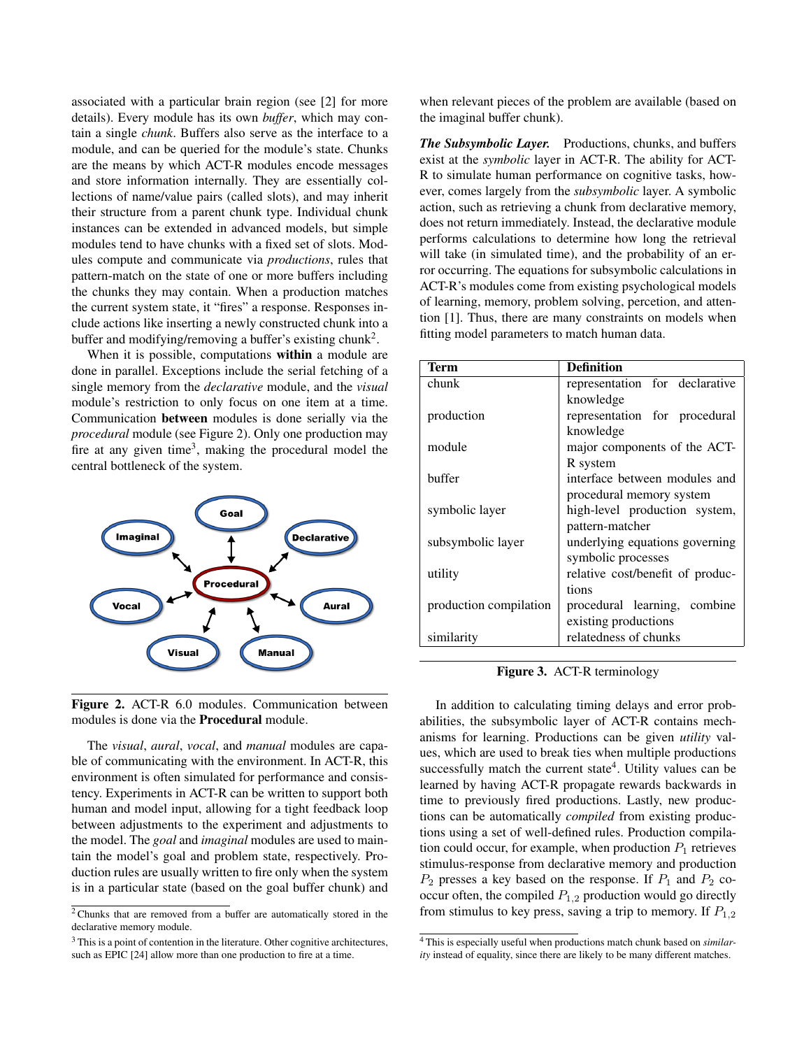associated with a particular brain region (see [2] for more details). Every module has its own *buffer*, which may contain a single *chunk*. Buffers also serve as the interface to a module, and can be queried for the module's state. Chunks are the means by which ACT-R modules encode messages and store information internally. They are essentially collections of name/value pairs (called slots), and may inherit their structure from a parent chunk type. Individual chunk instances can be extended in advanced models, but simple modules tend to have chunks with a fixed set of slots. Modules compute and communicate via *productions*, rules that pattern-match on the state of one or more buffers including the chunks they may contain. When a production matches the current system state, it "fires" a response. Responses include actions like inserting a newly constructed chunk into a buffer and modifying/removing a buffer's existing chunk<sup>2</sup>.

When it is possible, computations within a module are done in parallel. Exceptions include the serial fetching of a single memory from the *declarative* module, and the *visual* module's restriction to only focus on one item at a time. Communication between modules is done serially via the *procedural* module (see Figure 2). Only one production may fire at any given time<sup>3</sup>, making the procedural model the central bottleneck of the system.



Figure 2. ACT-R 6.0 modules. Communication between modules is done via the Procedural module.

The *visual*, *aural*, *vocal*, and *manual* modules are capable of communicating with the environment. In ACT-R, this environment is often simulated for performance and consistency. Experiments in ACT-R can be written to support both human and model input, allowing for a tight feedback loop between adjustments to the experiment and adjustments to the model. The *goal* and *imaginal* modules are used to maintain the model's goal and problem state, respectively. Production rules are usually written to fire only when the system is in a particular state (based on the goal buffer chunk) and

<sup>3</sup> This is a point of contention in the literature. Other cognitive architectures, such as EPIC [24] allow more than one production to fire at a time.

when relevant pieces of the problem are available (based on the imaginal buffer chunk).

*The Subsymbolic Layer.* Productions, chunks, and buffers exist at the *symbolic* layer in ACT-R. The ability for ACT-R to simulate human performance on cognitive tasks, however, comes largely from the *subsymbolic* layer. A symbolic action, such as retrieving a chunk from declarative memory, does not return immediately. Instead, the declarative module performs calculations to determine how long the retrieval will take (in simulated time), and the probability of an error occurring. The equations for subsymbolic calculations in ACT-R's modules come from existing psychological models of learning, memory, problem solving, percetion, and attention [1]. Thus, there are many constraints on models when fitting model parameters to match human data.

| <b>Term</b>            | <b>Definition</b>                |
|------------------------|----------------------------------|
| chunk                  | representation for declarative   |
|                        | knowledge                        |
| production             | representation for procedural    |
|                        | knowledge                        |
| module                 | major components of the ACT-     |
|                        | R system                         |
| buffer                 | interface between modules and    |
|                        | procedural memory system         |
| symbolic layer         | high-level production system,    |
|                        | pattern-matcher                  |
| subsymbolic layer      | underlying equations governing   |
|                        | symbolic processes               |
| utility                | relative cost/benefit of produc- |
|                        | tions                            |
| production compilation | procedural learning, combine     |
|                        | existing productions             |
| similarity             | relatedness of chunks            |

Figure 3. ACT-R terminology

In addition to calculating timing delays and error probabilities, the subsymbolic layer of ACT-R contains mechanisms for learning. Productions can be given *utility* values, which are used to break ties when multiple productions successfully match the current state<sup>4</sup>. Utility values can be learned by having ACT-R propagate rewards backwards in time to previously fired productions. Lastly, new productions can be automatically *compiled* from existing productions using a set of well-defined rules. Production compilation could occur, for example, when production  $P_1$  retrieves stimulus-response from declarative memory and production  $P_2$  presses a key based on the response. If  $P_1$  and  $P_2$  cooccur often, the compiled  $P_{1,2}$  production would go directly from stimulus to key press, saving a trip to memory. If  $P_{1,2}$ 

<sup>2</sup> Chunks that are removed from a buffer are automatically stored in the declarative memory module.

<sup>4</sup> This is especially useful when productions match chunk based on *similarity* instead of equality, since there are likely to be many different matches.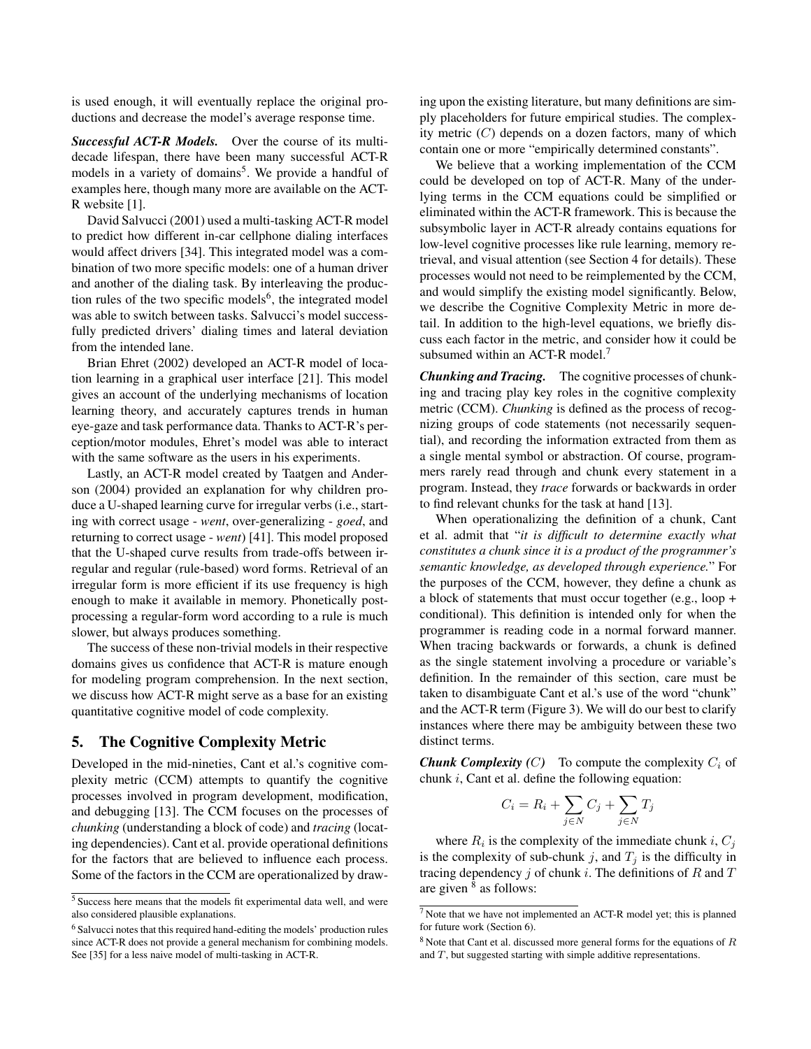is used enough, it will eventually replace the original productions and decrease the model's average response time.

*Successful ACT-R Models.* Over the course of its multidecade lifespan, there have been many successful ACT-R models in a variety of domains<sup>5</sup>. We provide a handful of examples here, though many more are available on the ACT-R website [1].

David Salvucci (2001) used a multi-tasking ACT-R model to predict how different in-car cellphone dialing interfaces would affect drivers [34]. This integrated model was a combination of two more specific models: one of a human driver and another of the dialing task. By interleaving the production rules of the two specific models<sup>6</sup>, the integrated model was able to switch between tasks. Salvucci's model successfully predicted drivers' dialing times and lateral deviation from the intended lane.

Brian Ehret (2002) developed an ACT-R model of location learning in a graphical user interface [21]. This model gives an account of the underlying mechanisms of location learning theory, and accurately captures trends in human eye-gaze and task performance data. Thanks to ACT-R's perception/motor modules, Ehret's model was able to interact with the same software as the users in his experiments.

Lastly, an ACT-R model created by Taatgen and Anderson (2004) provided an explanation for why children produce a U-shaped learning curve for irregular verbs (i.e., starting with correct usage - *went*, over-generalizing - *goed*, and returning to correct usage - *went*) [41]. This model proposed that the U-shaped curve results from trade-offs between irregular and regular (rule-based) word forms. Retrieval of an irregular form is more efficient if its use frequency is high enough to make it available in memory. Phonetically postprocessing a regular-form word according to a rule is much slower, but always produces something.

The success of these non-trivial models in their respective domains gives us confidence that ACT-R is mature enough for modeling program comprehension. In the next section, we discuss how ACT-R might serve as a base for an existing quantitative cognitive model of code complexity.

# 5. The Cognitive Complexity Metric

Developed in the mid-nineties, Cant et al.'s cognitive complexity metric (CCM) attempts to quantify the cognitive processes involved in program development, modification, and debugging [13]. The CCM focuses on the processes of *chunking* (understanding a block of code) and *tracing* (locating dependencies). Cant et al. provide operational definitions for the factors that are believed to influence each process. Some of the factors in the CCM are operationalized by drawing upon the existing literature, but many definitions are simply placeholders for future empirical studies. The complexity metric  $(C)$  depends on a dozen factors, many of which contain one or more "empirically determined constants".

We believe that a working implementation of the CCM could be developed on top of ACT-R. Many of the underlying terms in the CCM equations could be simplified or eliminated within the ACT-R framework. This is because the subsymbolic layer in ACT-R already contains equations for low-level cognitive processes like rule learning, memory retrieval, and visual attention (see Section 4 for details). These processes would not need to be reimplemented by the CCM, and would simplify the existing model significantly. Below, we describe the Cognitive Complexity Metric in more detail. In addition to the high-level equations, we briefly discuss each factor in the metric, and consider how it could be subsumed within an ACT-R model.<sup>7</sup>

*Chunking and Tracing.* The cognitive processes of chunking and tracing play key roles in the cognitive complexity metric (CCM). *Chunking* is defined as the process of recognizing groups of code statements (not necessarily sequential), and recording the information extracted from them as a single mental symbol or abstraction. Of course, programmers rarely read through and chunk every statement in a program. Instead, they *trace* forwards or backwards in order to find relevant chunks for the task at hand [13].

When operationalizing the definition of a chunk, Cant et al. admit that "*it is difficult to determine exactly what constitutes a chunk since it is a product of the programmer's semantic knowledge, as developed through experience.*" For the purposes of the CCM, however, they define a chunk as a block of statements that must occur together (e.g., loop + conditional). This definition is intended only for when the programmer is reading code in a normal forward manner. When tracing backwards or forwards, a chunk is defined as the single statement involving a procedure or variable's definition. In the remainder of this section, care must be taken to disambiguate Cant et al.'s use of the word "chunk" and the ACT-R term (Figure 3). We will do our best to clarify instances where there may be ambiguity between these two distinct terms.

**Chunk Complexity (C)** To compute the complexity  $C_i$  of chunk i, Cant et al. define the following equation:

$$
C_i = R_i + \sum_{j \in N} C_j + \sum_{j \in N} T_j
$$

where  $R_i$  is the complexity of the immediate chunk i,  $C_j$ is the complexity of sub-chunk j, and  $T_j$  is the difficulty in tracing dependency  $j$  of chunk  $i$ . The definitions of  $R$  and  $T$ are given <sup>8</sup> as follows:

<sup>5</sup> Success here means that the models fit experimental data well, and were also considered plausible explanations.

<sup>6</sup> Salvucci notes that this required hand-editing the models' production rules since ACT-R does not provide a general mechanism for combining models. See [35] for a less naive model of multi-tasking in ACT-R.

<sup>7</sup> Note that we have not implemented an ACT-R model yet; this is planned for future work (Section 6).

 $8$  Note that Cant et al. discussed more general forms for the equations of  $R$ and T, but suggested starting with simple additive representations.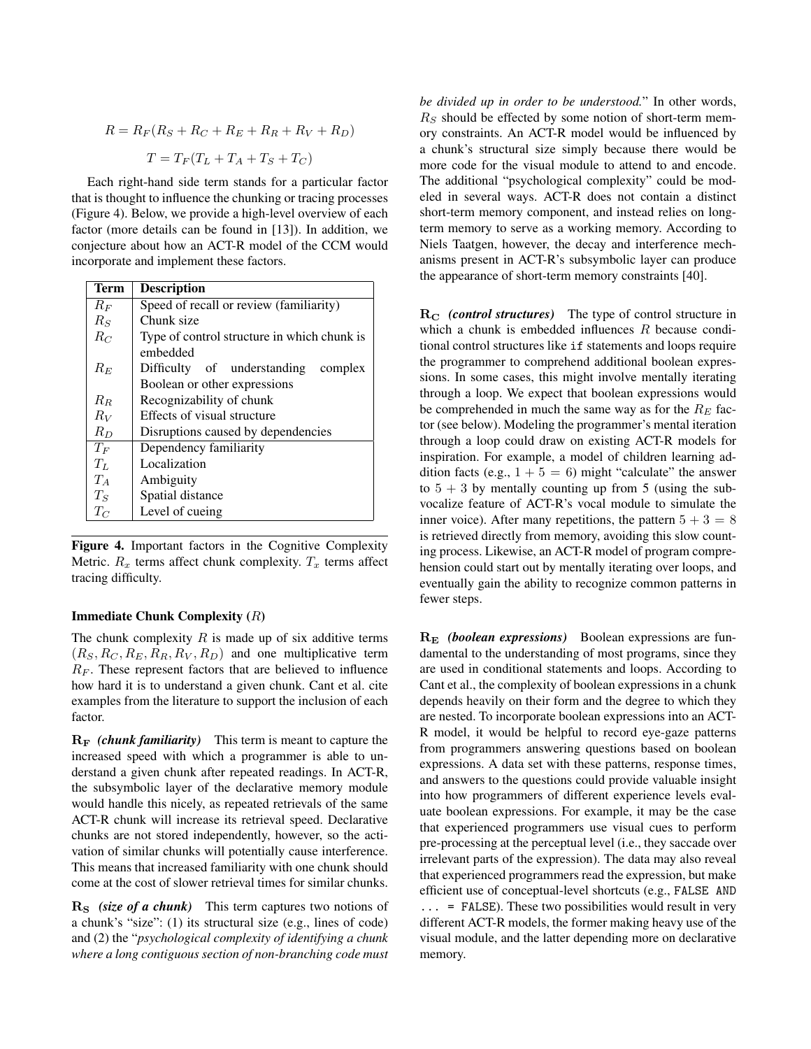$$
R = R_F(R_S + R_C + R_E + R_R + R_V + R_D)
$$

$$
T = T_F(T_L + T_A + T_S + T_C)
$$

Each right-hand side term stands for a particular factor that is thought to influence the chunking or tracing processes (Figure 4). Below, we provide a high-level overview of each factor (more details can be found in [13]). In addition, we conjecture about how an ACT-R model of the CCM would incorporate and implement these factors.

| Term    | <b>Description</b>                          |
|---------|---------------------------------------------|
| $R_F$   | Speed of recall or review (familiarity)     |
| $R_S$   | Chunk size                                  |
| $R_C$   | Type of control structure in which chunk is |
|         | embedded                                    |
| $R_E$   | Difficulty of understanding<br>complex      |
|         | Boolean or other expressions                |
| $R_B$   | Recognizability of chunk                    |
| $R_V$   | Effects of visual structure                 |
| $R_D$   | Disruptions caused by dependencies          |
| $T_F$   | Dependency familiarity                      |
| $T_L$   | Localization                                |
| $T_A$   | Ambiguity                                   |
| $T_S$   | Spatial distance                            |
| $T_{C}$ | Level of cueing                             |

Figure 4. Important factors in the Cognitive Complexity Metric.  $R_x$  terms affect chunk complexity.  $T_x$  terms affect tracing difficulty.

#### Immediate Chunk Complexity (R)

The chunk complexity  $R$  is made up of six additive terms  $(R_S, R_C, R_E, R_R, R_V, R_D)$  and one multiplicative term  $R_F$ . These represent factors that are believed to influence how hard it is to understand a given chunk. Cant et al. cite examples from the literature to support the inclusion of each factor.

 $R_F$  *(chunk familiarity)* This term is meant to capture the increased speed with which a programmer is able to understand a given chunk after repeated readings. In ACT-R, the subsymbolic layer of the declarative memory module would handle this nicely, as repeated retrievals of the same ACT-R chunk will increase its retrieval speed. Declarative chunks are not stored independently, however, so the activation of similar chunks will potentially cause interference. This means that increased familiarity with one chunk should come at the cost of slower retrieval times for similar chunks.

R<sub>S</sub> *(size of a chunk)* This term captures two notions of a chunk's "size": (1) its structural size (e.g., lines of code) and (2) the "*psychological complexity of identifying a chunk where a long contiguous section of non-branching code must* *be divided up in order to be understood.*" In other words,  $R<sub>S</sub>$  should be effected by some notion of short-term memory constraints. An ACT-R model would be influenced by a chunk's structural size simply because there would be more code for the visual module to attend to and encode. The additional "psychological complexity" could be modeled in several ways. ACT-R does not contain a distinct short-term memory component, and instead relies on longterm memory to serve as a working memory. According to Niels Taatgen, however, the decay and interference mechanisms present in ACT-R's subsymbolic layer can produce the appearance of short-term memory constraints [40].

R<sub>C</sub> (control structures) The type of control structure in which a chunk is embedded influences R because conditional control structures like if statements and loops require the programmer to comprehend additional boolean expressions. In some cases, this might involve mentally iterating through a loop. We expect that boolean expressions would be comprehended in much the same way as for the  $R_E$  factor (see below). Modeling the programmer's mental iteration through a loop could draw on existing ACT-R models for inspiration. For example, a model of children learning addition facts (e.g.,  $1 + 5 = 6$ ) might "calculate" the answer to  $5 + 3$  by mentally counting up from 5 (using the subvocalize feature of ACT-R's vocal module to simulate the inner voice). After many repetitions, the pattern  $5 + 3 = 8$ is retrieved directly from memory, avoiding this slow counting process. Likewise, an ACT-R model of program comprehension could start out by mentally iterating over loops, and eventually gain the ability to recognize common patterns in fewer steps.

R<sup>E</sup> *(boolean expressions)* Boolean expressions are fundamental to the understanding of most programs, since they are used in conditional statements and loops. According to Cant et al., the complexity of boolean expressions in a chunk depends heavily on their form and the degree to which they are nested. To incorporate boolean expressions into an ACT-R model, it would be helpful to record eye-gaze patterns from programmers answering questions based on boolean expressions. A data set with these patterns, response times, and answers to the questions could provide valuable insight into how programmers of different experience levels evaluate boolean expressions. For example, it may be the case that experienced programmers use visual cues to perform pre-processing at the perceptual level (i.e., they saccade over irrelevant parts of the expression). The data may also reveal that experienced programmers read the expression, but make efficient use of conceptual-level shortcuts (e.g., FALSE AND ... = FALSE). These two possibilities would result in very different ACT-R models, the former making heavy use of the visual module, and the latter depending more on declarative memory.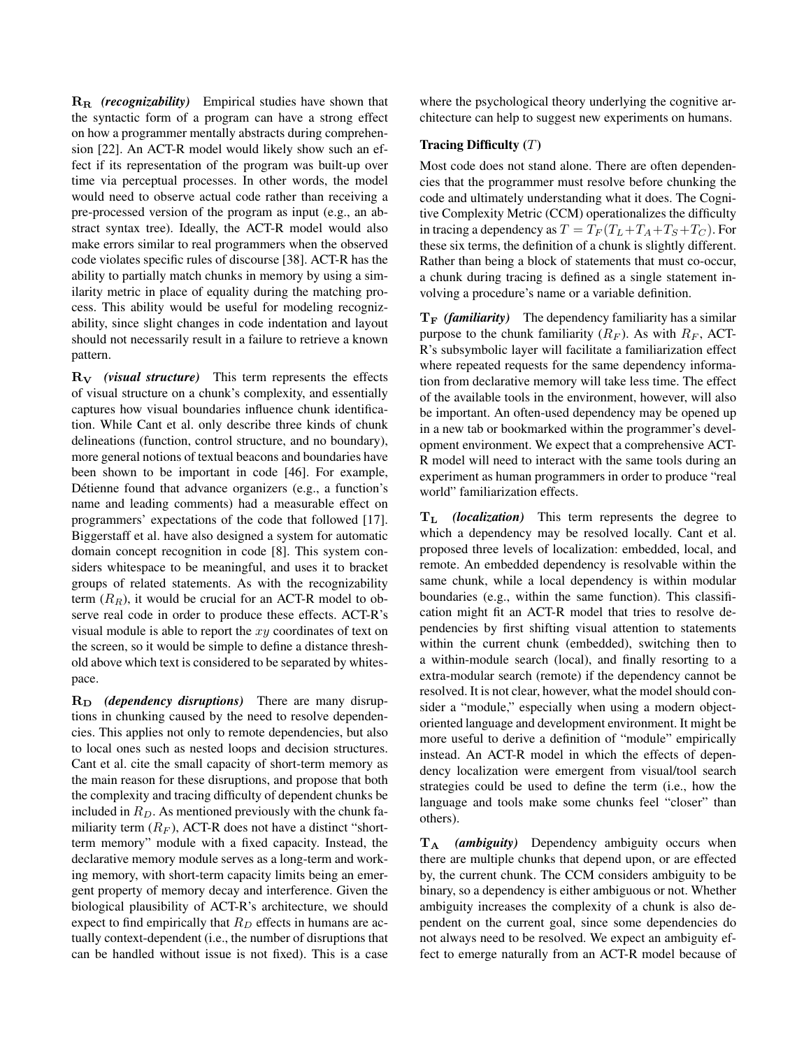R<sup>R</sup> *(recognizability)* Empirical studies have shown that the syntactic form of a program can have a strong effect on how a programmer mentally abstracts during comprehension [22]. An ACT-R model would likely show such an effect if its representation of the program was built-up over time via perceptual processes. In other words, the model would need to observe actual code rather than receiving a pre-processed version of the program as input (e.g., an abstract syntax tree). Ideally, the ACT-R model would also make errors similar to real programmers when the observed code violates specific rules of discourse [38]. ACT-R has the ability to partially match chunks in memory by using a similarity metric in place of equality during the matching process. This ability would be useful for modeling recognizability, since slight changes in code indentation and layout should not necessarily result in a failure to retrieve a known pattern.

R<sup>V</sup> *(visual structure)* This term represents the effects of visual structure on a chunk's complexity, and essentially captures how visual boundaries influence chunk identification. While Cant et al. only describe three kinds of chunk delineations (function, control structure, and no boundary), more general notions of textual beacons and boundaries have been shown to be important in code [46]. For example, Détienne found that advance organizers (e.g., a function's name and leading comments) had a measurable effect on programmers' expectations of the code that followed [17]. Biggerstaff et al. have also designed a system for automatic domain concept recognition in code [8]. This system considers whitespace to be meaningful, and uses it to bracket groups of related statements. As with the recognizability term  $(R_R)$ , it would be crucial for an ACT-R model to observe real code in order to produce these effects. ACT-R's visual module is able to report the  $xy$  coordinates of text on the screen, so it would be simple to define a distance threshold above which text is considered to be separated by whitespace.

 $R_D$  *(dependency disruptions)* There are many disruptions in chunking caused by the need to resolve dependencies. This applies not only to remote dependencies, but also to local ones such as nested loops and decision structures. Cant et al. cite the small capacity of short-term memory as the main reason for these disruptions, and propose that both the complexity and tracing difficulty of dependent chunks be included in  $R_D$ . As mentioned previously with the chunk familiarity term  $(R_F)$ , ACT-R does not have a distinct "shortterm memory" module with a fixed capacity. Instead, the declarative memory module serves as a long-term and working memory, with short-term capacity limits being an emergent property of memory decay and interference. Given the biological plausibility of ACT-R's architecture, we should expect to find empirically that  $R_D$  effects in humans are actually context-dependent (i.e., the number of disruptions that can be handled without issue is not fixed). This is a case

where the psychological theory underlying the cognitive architecture can help to suggest new experiments on humans.

### Tracing Difficulty  $(T)$

Most code does not stand alone. There are often dependencies that the programmer must resolve before chunking the code and ultimately understanding what it does. The Cognitive Complexity Metric (CCM) operationalizes the difficulty in tracing a dependency as  $T = T_F (T_L + T_A + T_S + T_C)$ . For these six terms, the definition of a chunk is slightly different. Rather than being a block of statements that must co-occur, a chunk during tracing is defined as a single statement involving a procedure's name or a variable definition.

 $T_F$  *(familiarity)* The dependency familiarity has a similar purpose to the chunk familiarity  $(R_F)$ . As with  $R_F$ , ACT-R's subsymbolic layer will facilitate a familiarization effect where repeated requests for the same dependency information from declarative memory will take less time. The effect of the available tools in the environment, however, will also be important. An often-used dependency may be opened up in a new tab or bookmarked within the programmer's development environment. We expect that a comprehensive ACT-R model will need to interact with the same tools during an experiment as human programmers in order to produce "real world" familiarization effects.

T<sup>L</sup> *(localization)* This term represents the degree to which a dependency may be resolved locally. Cant et al. proposed three levels of localization: embedded, local, and remote. An embedded dependency is resolvable within the same chunk, while a local dependency is within modular boundaries (e.g., within the same function). This classification might fit an ACT-R model that tries to resolve dependencies by first shifting visual attention to statements within the current chunk (embedded), switching then to a within-module search (local), and finally resorting to a extra-modular search (remote) if the dependency cannot be resolved. It is not clear, however, what the model should consider a "module," especially when using a modern objectoriented language and development environment. It might be more useful to derive a definition of "module" empirically instead. An ACT-R model in which the effects of dependency localization were emergent from visual/tool search strategies could be used to define the term (i.e., how the language and tools make some chunks feel "closer" than others).

T<sup>A</sup> *(ambiguity)* Dependency ambiguity occurs when there are multiple chunks that depend upon, or are effected by, the current chunk. The CCM considers ambiguity to be binary, so a dependency is either ambiguous or not. Whether ambiguity increases the complexity of a chunk is also dependent on the current goal, since some dependencies do not always need to be resolved. We expect an ambiguity effect to emerge naturally from an ACT-R model because of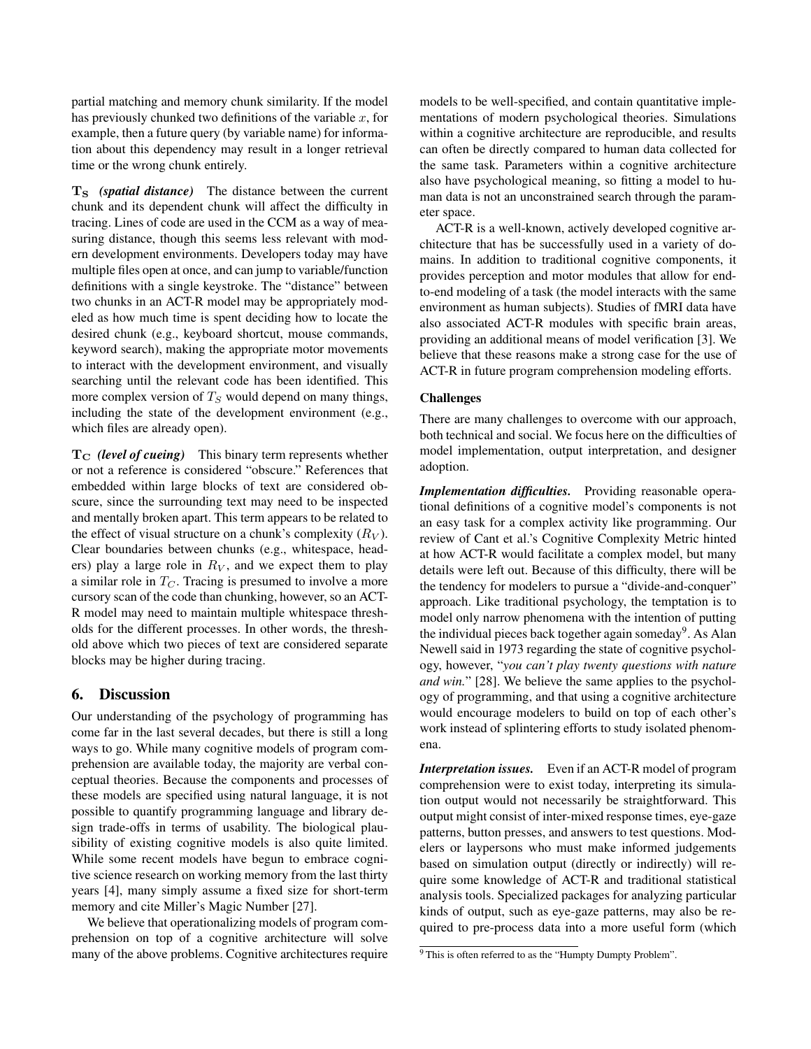partial matching and memory chunk similarity. If the model has previously chunked two definitions of the variable  $x$ , for example, then a future query (by variable name) for information about this dependency may result in a longer retrieval time or the wrong chunk entirely.

T<sub>S</sub> (spatial distance) The distance between the current chunk and its dependent chunk will affect the difficulty in tracing. Lines of code are used in the CCM as a way of measuring distance, though this seems less relevant with modern development environments. Developers today may have multiple files open at once, and can jump to variable/function definitions with a single keystroke. The "distance" between two chunks in an ACT-R model may be appropriately modeled as how much time is spent deciding how to locate the desired chunk (e.g., keyboard shortcut, mouse commands, keyword search), making the appropriate motor movements to interact with the development environment, and visually searching until the relevant code has been identified. This more complex version of  $T<sub>S</sub>$  would depend on many things, including the state of the development environment (e.g., which files are already open).

T<sub>C</sub> (level of cueing) This binary term represents whether or not a reference is considered "obscure." References that embedded within large blocks of text are considered obscure, since the surrounding text may need to be inspected and mentally broken apart. This term appears to be related to the effect of visual structure on a chunk's complexity  $(R_V)$ . Clear boundaries between chunks (e.g., whitespace, headers) play a large role in  $R_V$ , and we expect them to play a similar role in  $T_C$ . Tracing is presumed to involve a more cursory scan of the code than chunking, however, so an ACT-R model may need to maintain multiple whitespace thresholds for the different processes. In other words, the threshold above which two pieces of text are considered separate blocks may be higher during tracing.

# 6. Discussion

Our understanding of the psychology of programming has come far in the last several decades, but there is still a long ways to go. While many cognitive models of program comprehension are available today, the majority are verbal conceptual theories. Because the components and processes of these models are specified using natural language, it is not possible to quantify programming language and library design trade-offs in terms of usability. The biological plausibility of existing cognitive models is also quite limited. While some recent models have begun to embrace cognitive science research on working memory from the last thirty years [4], many simply assume a fixed size for short-term memory and cite Miller's Magic Number [27].

We believe that operationalizing models of program comprehension on top of a cognitive architecture will solve many of the above problems. Cognitive architectures require

models to be well-specified, and contain quantitative implementations of modern psychological theories. Simulations within a cognitive architecture are reproducible, and results can often be directly compared to human data collected for the same task. Parameters within a cognitive architecture also have psychological meaning, so fitting a model to human data is not an unconstrained search through the parameter space.

ACT-R is a well-known, actively developed cognitive architecture that has be successfully used in a variety of domains. In addition to traditional cognitive components, it provides perception and motor modules that allow for endto-end modeling of a task (the model interacts with the same environment as human subjects). Studies of fMRI data have also associated ACT-R modules with specific brain areas, providing an additional means of model verification [3]. We believe that these reasons make a strong case for the use of ACT-R in future program comprehension modeling efforts.

#### Challenges

There are many challenges to overcome with our approach, both technical and social. We focus here on the difficulties of model implementation, output interpretation, and designer adoption.

*Implementation difficulties.* Providing reasonable operational definitions of a cognitive model's components is not an easy task for a complex activity like programming. Our review of Cant et al.'s Cognitive Complexity Metric hinted at how ACT-R would facilitate a complex model, but many details were left out. Because of this difficulty, there will be the tendency for modelers to pursue a "divide-and-conquer" approach. Like traditional psychology, the temptation is to model only narrow phenomena with the intention of putting the individual pieces back together again someday<sup>9</sup>. As Alan Newell said in 1973 regarding the state of cognitive psychology, however, "*you can't play twenty questions with nature and win.*" [28]. We believe the same applies to the psychology of programming, and that using a cognitive architecture would encourage modelers to build on top of each other's work instead of splintering efforts to study isolated phenomena.

*Interpretation issues.* Even if an ACT-R model of program comprehension were to exist today, interpreting its simulation output would not necessarily be straightforward. This output might consist of inter-mixed response times, eye-gaze patterns, button presses, and answers to test questions. Modelers or laypersons who must make informed judgements based on simulation output (directly or indirectly) will require some knowledge of ACT-R and traditional statistical analysis tools. Specialized packages for analyzing particular kinds of output, such as eye-gaze patterns, may also be required to pre-process data into a more useful form (which

<sup>&</sup>lt;sup>9</sup> This is often referred to as the "Humpty Dumpty Problem".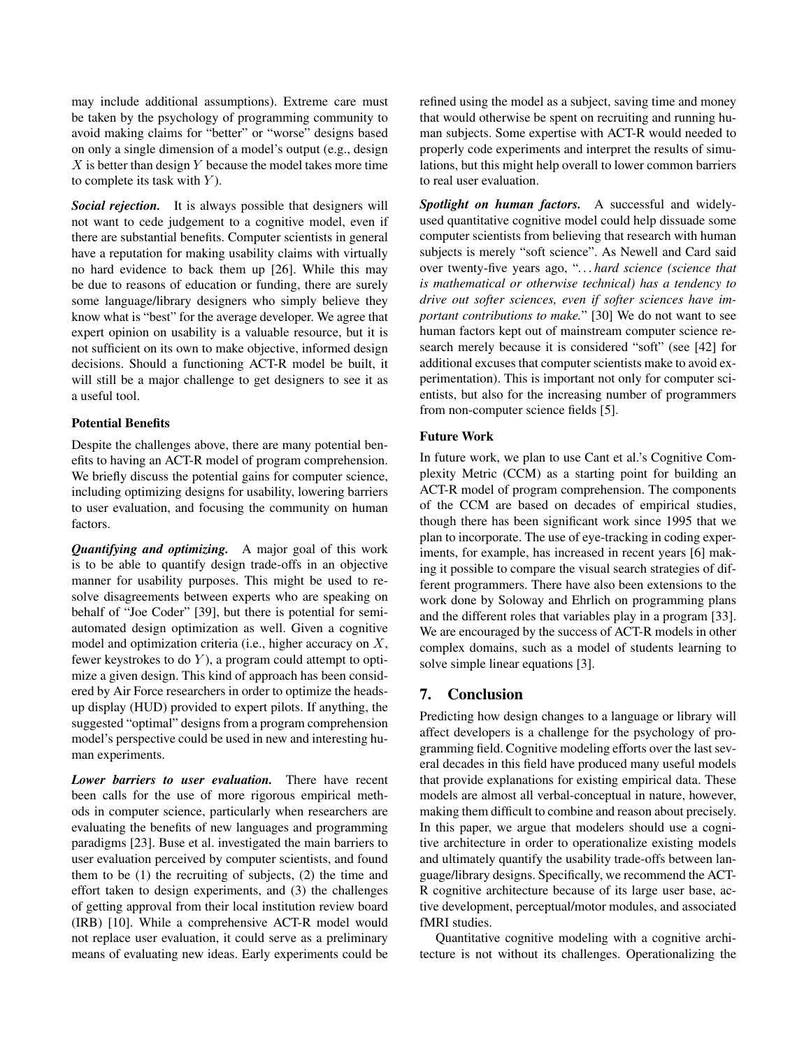may include additional assumptions). Extreme care must be taken by the psychology of programming community to avoid making claims for "better" or "worse" designs based on only a single dimension of a model's output (e.g., design  $X$  is better than design  $Y$  because the model takes more time to complete its task with  $Y$ ).

*Social rejection.* It is always possible that designers will not want to cede judgement to a cognitive model, even if there are substantial benefits. Computer scientists in general have a reputation for making usability claims with virtually no hard evidence to back them up [26]. While this may be due to reasons of education or funding, there are surely some language/library designers who simply believe they know what is "best" for the average developer. We agree that expert opinion on usability is a valuable resource, but it is not sufficient on its own to make objective, informed design decisions. Should a functioning ACT-R model be built, it will still be a major challenge to get designers to see it as a useful tool.

### Potential Benefits

Despite the challenges above, there are many potential benefits to having an ACT-R model of program comprehension. We briefly discuss the potential gains for computer science, including optimizing designs for usability, lowering barriers to user evaluation, and focusing the community on human factors.

*Quantifying and optimizing.* A major goal of this work is to be able to quantify design trade-offs in an objective manner for usability purposes. This might be used to resolve disagreements between experts who are speaking on behalf of "Joe Coder" [39], but there is potential for semiautomated design optimization as well. Given a cognitive model and optimization criteria (i.e., higher accuracy on X, fewer keystrokes to do  $Y$ ), a program could attempt to optimize a given design. This kind of approach has been considered by Air Force researchers in order to optimize the headsup display (HUD) provided to expert pilots. If anything, the suggested "optimal" designs from a program comprehension model's perspective could be used in new and interesting human experiments.

*Lower barriers to user evaluation.* There have recent been calls for the use of more rigorous empirical methods in computer science, particularly when researchers are evaluating the benefits of new languages and programming paradigms [23]. Buse et al. investigated the main barriers to user evaluation perceived by computer scientists, and found them to be (1) the recruiting of subjects, (2) the time and effort taken to design experiments, and (3) the challenges of getting approval from their local institution review board (IRB) [10]. While a comprehensive ACT-R model would not replace user evaluation, it could serve as a preliminary means of evaluating new ideas. Early experiments could be

refined using the model as a subject, saving time and money that would otherwise be spent on recruiting and running human subjects. Some expertise with ACT-R would needed to properly code experiments and interpret the results of simulations, but this might help overall to lower common barriers to real user evaluation.

*Spotlight on human factors.* A successful and widelyused quantitative cognitive model could help dissuade some computer scientists from believing that research with human subjects is merely "soft science". As Newell and Card said over twenty-five years ago, "*. . . hard science (science that is mathematical or otherwise technical) has a tendency to drive out softer sciences, even if softer sciences have important contributions to make.*" [30] We do not want to see human factors kept out of mainstream computer science research merely because it is considered "soft" (see [42] for additional excuses that computer scientists make to avoid experimentation). This is important not only for computer scientists, but also for the increasing number of programmers from non-computer science fields [5].

## Future Work

In future work, we plan to use Cant et al.'s Cognitive Complexity Metric (CCM) as a starting point for building an ACT-R model of program comprehension. The components of the CCM are based on decades of empirical studies, though there has been significant work since 1995 that we plan to incorporate. The use of eye-tracking in coding experiments, for example, has increased in recent years [6] making it possible to compare the visual search strategies of different programmers. There have also been extensions to the work done by Soloway and Ehrlich on programming plans and the different roles that variables play in a program [33]. We are encouraged by the success of ACT-R models in other complex domains, such as a model of students learning to solve simple linear equations [3].

# 7. Conclusion

Predicting how design changes to a language or library will affect developers is a challenge for the psychology of programming field. Cognitive modeling efforts over the last several decades in this field have produced many useful models that provide explanations for existing empirical data. These models are almost all verbal-conceptual in nature, however, making them difficult to combine and reason about precisely. In this paper, we argue that modelers should use a cognitive architecture in order to operationalize existing models and ultimately quantify the usability trade-offs between language/library designs. Specifically, we recommend the ACT-R cognitive architecture because of its large user base, active development, perceptual/motor modules, and associated fMRI studies.

Quantitative cognitive modeling with a cognitive architecture is not without its challenges. Operationalizing the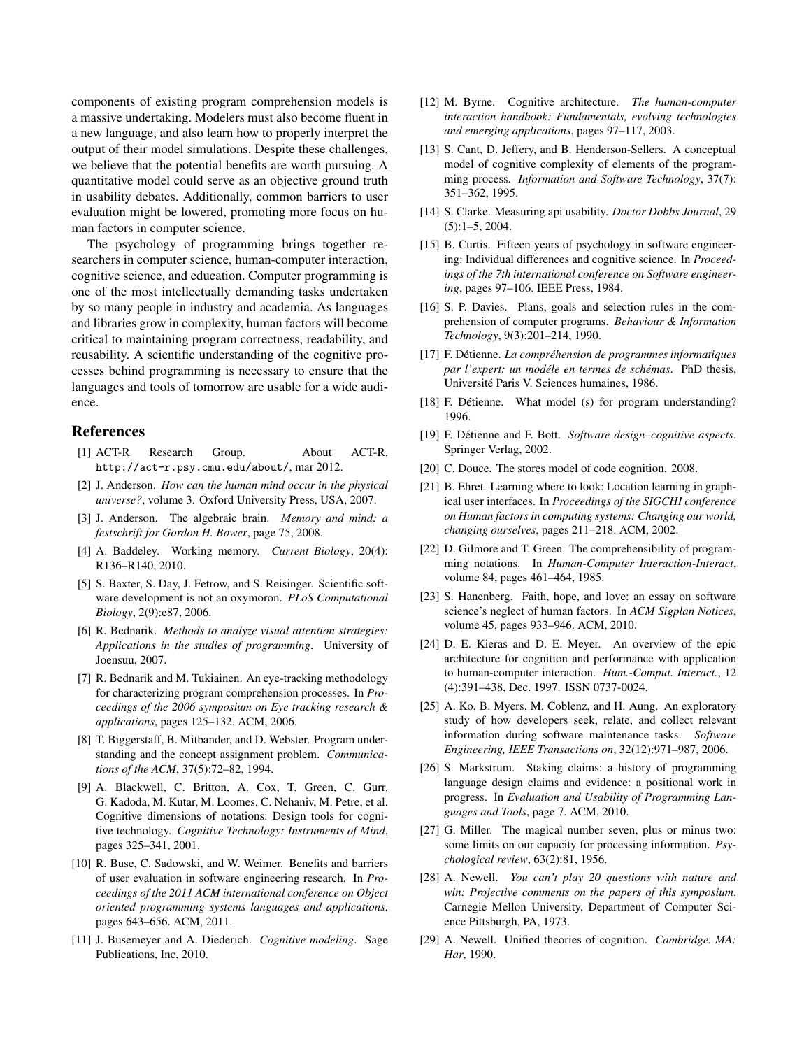components of existing program comprehension models is a massive undertaking. Modelers must also become fluent in a new language, and also learn how to properly interpret the output of their model simulations. Despite these challenges, we believe that the potential benefits are worth pursuing. A quantitative model could serve as an objective ground truth in usability debates. Additionally, common barriers to user evaluation might be lowered, promoting more focus on human factors in computer science.

The psychology of programming brings together researchers in computer science, human-computer interaction, cognitive science, and education. Computer programming is one of the most intellectually demanding tasks undertaken by so many people in industry and academia. As languages and libraries grow in complexity, human factors will become critical to maintaining program correctness, readability, and reusability. A scientific understanding of the cognitive processes behind programming is necessary to ensure that the languages and tools of tomorrow are usable for a wide audience.

## References

- [1] ACT-R Research Group. About ACT-R. http://act-r.psy.cmu.edu/about/, mar 2012.
- [2] J. Anderson. *How can the human mind occur in the physical universe?*, volume 3. Oxford University Press, USA, 2007.
- [3] J. Anderson. The algebraic brain. *Memory and mind: a festschrift for Gordon H. Bower*, page 75, 2008.
- [4] A. Baddeley. Working memory. *Current Biology*, 20(4): R136–R140, 2010.
- [5] S. Baxter, S. Day, J. Fetrow, and S. Reisinger. Scientific software development is not an oxymoron. *PLoS Computational Biology*, 2(9):e87, 2006.
- [6] R. Bednarik. *Methods to analyze visual attention strategies: Applications in the studies of programming*. University of Joensuu, 2007.
- [7] R. Bednarik and M. Tukiainen. An eye-tracking methodology for characterizing program comprehension processes. In *Proceedings of the 2006 symposium on Eye tracking research & applications*, pages 125–132. ACM, 2006.
- [8] T. Biggerstaff, B. Mitbander, and D. Webster. Program understanding and the concept assignment problem. *Communications of the ACM*, 37(5):72–82, 1994.
- [9] A. Blackwell, C. Britton, A. Cox, T. Green, C. Gurr, G. Kadoda, M. Kutar, M. Loomes, C. Nehaniv, M. Petre, et al. Cognitive dimensions of notations: Design tools for cognitive technology. *Cognitive Technology: Instruments of Mind*, pages 325–341, 2001.
- [10] R. Buse, C. Sadowski, and W. Weimer. Benefits and barriers of user evaluation in software engineering research. In *Proceedings of the 2011 ACM international conference on Object oriented programming systems languages and applications*, pages 643–656. ACM, 2011.
- [11] J. Busemeyer and A. Diederich. *Cognitive modeling*. Sage Publications, Inc, 2010.
- [12] M. Byrne. Cognitive architecture. *The human-computer interaction handbook: Fundamentals, evolving technologies and emerging applications*, pages 97–117, 2003.
- [13] S. Cant, D. Jeffery, and B. Henderson-Sellers. A conceptual model of cognitive complexity of elements of the programming process. *Information and Software Technology*, 37(7): 351–362, 1995.
- [14] S. Clarke. Measuring api usability. *Doctor Dobbs Journal*, 29 (5):1–5, 2004.
- [15] B. Curtis. Fifteen years of psychology in software engineering: Individual differences and cognitive science. In *Proceedings of the 7th international conference on Software engineering*, pages 97–106. IEEE Press, 1984.
- [16] S. P. Davies. Plans, goals and selection rules in the comprehension of computer programs. *Behaviour & Information Technology*, 9(3):201–214, 1990.
- [17] F. Détienne. *La compréhension de programmes informatiques par l'expert: un modéle en termes de schémas.* PhD thesis, Universite Paris V. Sciences humaines, 1986. ´
- [18] F. Détienne. What model (s) for program understanding? 1996.
- [19] F. Detienne and F. Bott. ´ *Software design–cognitive aspects*. Springer Verlag, 2002.
- [20] C. Douce. The stores model of code cognition. 2008.
- [21] B. Ehret. Learning where to look: Location learning in graphical user interfaces. In *Proceedings of the SIGCHI conference on Human factors in computing systems: Changing our world, changing ourselves*, pages 211–218. ACM, 2002.
- [22] D. Gilmore and T. Green. The comprehensibility of programming notations. In *Human-Computer Interaction-Interact*, volume 84, pages 461–464, 1985.
- [23] S. Hanenberg. Faith, hope, and love: an essay on software science's neglect of human factors. In *ACM Sigplan Notices*, volume 45, pages 933–946. ACM, 2010.
- [24] D. E. Kieras and D. E. Meyer. An overview of the epic architecture for cognition and performance with application to human-computer interaction. *Hum.-Comput. Interact.*, 12 (4):391–438, Dec. 1997. ISSN 0737-0024.
- [25] A. Ko, B. Myers, M. Coblenz, and H. Aung. An exploratory study of how developers seek, relate, and collect relevant information during software maintenance tasks. *Software Engineering, IEEE Transactions on*, 32(12):971–987, 2006.
- [26] S. Markstrum. Staking claims: a history of programming language design claims and evidence: a positional work in progress. In *Evaluation and Usability of Programming Languages and Tools*, page 7. ACM, 2010.
- [27] G. Miller. The magical number seven, plus or minus two: some limits on our capacity for processing information. *Psychological review*, 63(2):81, 1956.
- [28] A. Newell. *You can't play 20 questions with nature and win: Projective comments on the papers of this symposium*. Carnegie Mellon University, Department of Computer Science Pittsburgh, PA, 1973.
- [29] A. Newell. Unified theories of cognition. *Cambridge. MA: Har*, 1990.